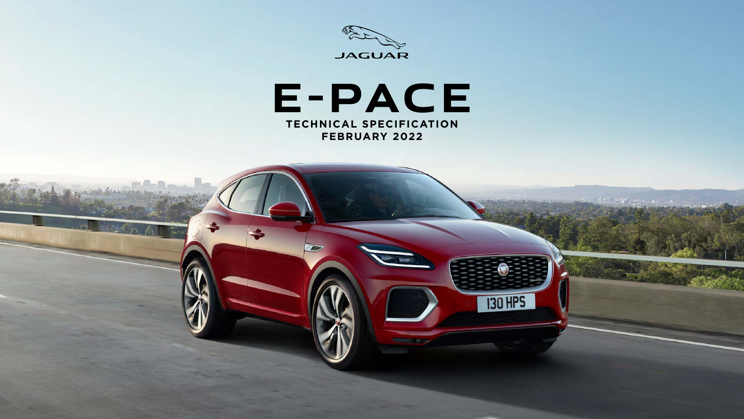



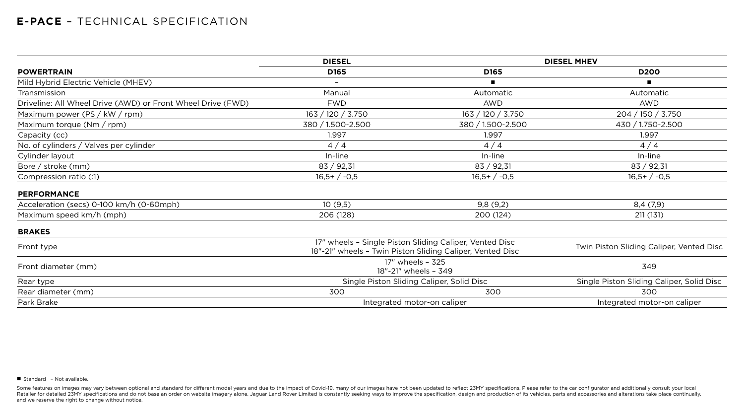|                                                             | <b>DIESEL</b>                                                                                                        | <b>DIESEL MHEV</b>                        |                                           |  |
|-------------------------------------------------------------|----------------------------------------------------------------------------------------------------------------------|-------------------------------------------|-------------------------------------------|--|
| <b>POWERTRAIN</b>                                           | <b>D165</b>                                                                                                          | D <sub>165</sub>                          | <b>D200</b>                               |  |
| Mild Hybrid Electric Vehicle (MHEV)                         | $\overline{\phantom{0}}$                                                                                             | $\blacksquare$                            | $\blacksquare$                            |  |
| Transmission                                                | Manual                                                                                                               | Automatic                                 | Automatic                                 |  |
| Driveline: All Wheel Drive (AWD) or Front Wheel Drive (FWD) | <b>FWD</b>                                                                                                           | <b>AWD</b>                                | <b>AWD</b>                                |  |
| Maximum power (PS / $kW$ / rpm)                             | 163 / 120 / 3.750                                                                                                    | 163 / 120 / 3.750                         | 204 / 150 / 3.750                         |  |
| Maximum torque $(Nm / rpm)$                                 | 380 / 1.500-2.500                                                                                                    | 380 / 1.500-2.500                         | 430 / 1.750-2.500                         |  |
| Capacity (cc)                                               | 1.997                                                                                                                | 1.997                                     | 1.997                                     |  |
| No. of cylinders / Valves per cylinder                      | 4/4                                                                                                                  | 4/4                                       | 4/4                                       |  |
| Cylinder layout                                             | In-line                                                                                                              | In-line                                   | In-line                                   |  |
| Bore / stroke (mm)                                          | 83 / 92,31                                                                                                           | 83 / 92,31                                | 83 / 92,31                                |  |
| Compression ratio (:1)                                      | $16,5+/-0,5$                                                                                                         | $16,5+/-0,5$                              | $16,5+/-0,5$                              |  |
| <b>PERFORMANCE</b>                                          |                                                                                                                      |                                           |                                           |  |
| Acceleration (secs) 0-100 km/h (0-60mph)                    | 10(9,5)                                                                                                              | 9,8(9,2)                                  | 8,4(7,9)                                  |  |
| Maximum speed km/h (mph)                                    | 206 (128)                                                                                                            | 200 (124)                                 | 211 (131)                                 |  |
| <b>BRAKES</b>                                               |                                                                                                                      |                                           |                                           |  |
| Front type                                                  | 17" wheels - Single Piston Sliding Caliper, Vented Disc<br>18"-21" wheels - Twin Piston Sliding Caliper, Vented Disc |                                           | Twin Piston Sliding Caliper, Vented Disc  |  |
| Front diameter (mm)                                         | 17" wheels - 325<br>18"-21" wheels - 349                                                                             |                                           | 349                                       |  |
| Rear type                                                   |                                                                                                                      | Single Piston Sliding Caliper, Solid Disc | Single Piston Sliding Caliper, Solid Disc |  |
| Rear diameter (mm)                                          | 300                                                                                                                  | 300                                       | 300                                       |  |
| Park Brake                                                  |                                                                                                                      | Integrated motor-on caliper               | Integrated motor-on caliper               |  |
|                                                             |                                                                                                                      |                                           |                                           |  |

■ Standard - Not available.

Some features on images may vary between optional and standard for different model years and due to the impact of Covid-19, many of our images have not been updated to reflect 23MY specifications. Please refer to the car c Retailer for detailed 23MY specifications and do not base an order on website imagery alone. Jaguar Land Rover Limited is constantly seeking ways to improve the specification, design and production of its vehicles, parts a and we reserve the right to change without notice.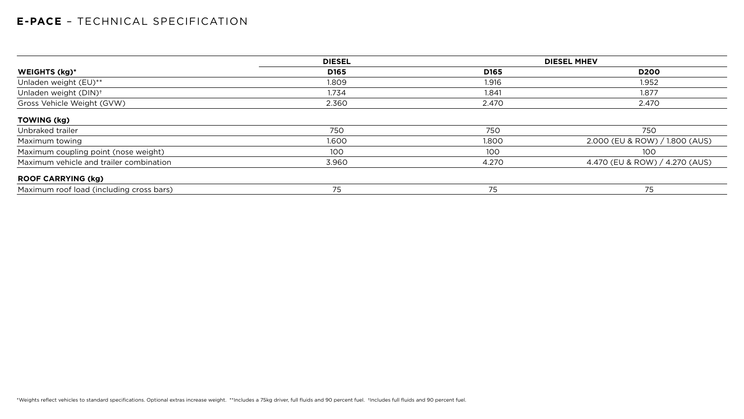|                                          | <b>DIESEL</b> |                  | <b>DIESEL MHEV</b>             |
|------------------------------------------|---------------|------------------|--------------------------------|
| WEIGHTS (kg)*                            | D165          | D <sub>165</sub> | <b>D200</b>                    |
| Unladen weight (EU)**                    | 1.809         | 1.916            | 1.952                          |
| Unladen weight (DIN) <sup>+</sup>        | 1.734         | 1.841            | 1.877                          |
| Gross Vehicle Weight (GVW)               | 2.360         | 2.470            | 2.470                          |
| <b>TOWING (kg)</b>                       |               |                  |                                |
| Unbraked trailer                         | 750           | 750              | 750                            |
| Maximum towing                           | 1.600         | 1.800            | 2.000 (EU & ROW) / 1.800 (AUS) |
| Maximum coupling point (nose weight)     | 100           | 100              | 100                            |
| Maximum vehicle and trailer combination  | 3.960         | 4.270            | 4.470 (EU & ROW) / 4.270 (AUS) |
| <b>ROOF CARRYING (kg)</b>                |               |                  |                                |
| Maximum roof load (including cross bars) | 75            | 75               | 75                             |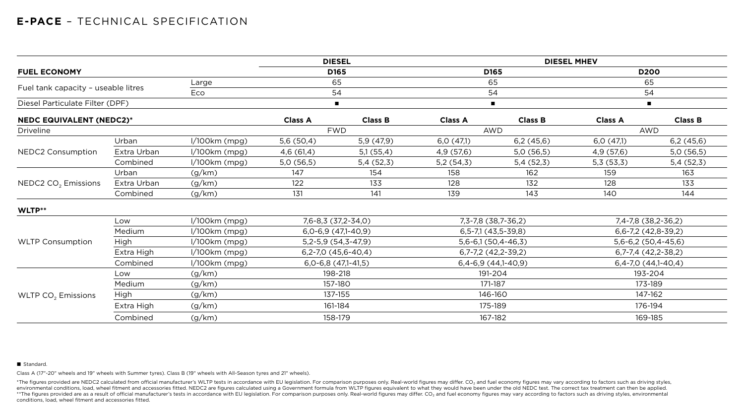|                                     |             |                 |                  | <b>DIESEL</b>           |                         |                                  | <b>DIESEL MHEV</b>      |                       |
|-------------------------------------|-------------|-----------------|------------------|-------------------------|-------------------------|----------------------------------|-------------------------|-----------------------|
| <b>FUEL ECONOMY</b>                 |             |                 | D <sub>165</sub> |                         |                         | D165                             | <b>D200</b>             |                       |
| Large                               |             |                 |                  | 65                      |                         | 65                               | 65                      |                       |
| Fuel tank capacity - useable litres |             | Eco             |                  | 54                      |                         | 54                               | 54                      |                       |
| Diesel Particulate Filter (DPF)     |             |                 |                  | $\blacksquare$          |                         | $\blacksquare$                   | $\blacksquare$          |                       |
| <b>NEDC EQUIVALENT (NEDC2)*</b>     |             |                 | <b>Class A</b>   | <b>Class B</b>          | <b>Class A</b>          | <b>Class B</b>                   | <b>Class A</b>          | <b>Class B</b>        |
| <b>Driveline</b>                    |             |                 |                  | <b>FWD</b>              |                         | <b>AWD</b>                       |                         | <b>AWD</b>            |
|                                     | Urban       | $1/100km$ (mpg) | 5,6(50,4)        | 5,9(47,9)               | 6,0(47,1)               | 6,2(45,6)                        | 6,0(47,1)               | 6,2(45,6)             |
| <b>NEDC2 Consumption</b>            | Extra Urban | $1/100km$ (mpg) | 4,6(61,4)        | 5,1(55,4)               | 4,9 (57,6)              | 5,0(56,5)                        | 4,9(57,6)               | 5,0(56,5)             |
|                                     | Combined    | $1/100km$ (mpg) | 5,0(56,5)        | 5,4(52,3)               | 5,2(54,3)               | 5,4(52,3)                        | 5,3(53,3)               | 5,4(52,3)             |
| NEDC2 CO <sub>2</sub> Emissions     | Urban       | (g/km)          | 147              | 154                     | 158                     | 162                              | 159                     | 163                   |
|                                     | Extra Urban | (g/km)          | 122              | 133                     | 128                     | 132                              | 128                     | 133                   |
|                                     | Combined    | (g/km)          | 131              | 141                     | 139                     | 143                              | 140                     | 144                   |
| WLTP**                              |             |                 |                  |                         |                         |                                  |                         |                       |
|                                     | Low         | $1/100km$ (mpg) |                  | 7,6-8,3 (37,2-34,0)     |                         | 7, 3-7, 8 (38, 7-36, 2)          |                         | 7,4-7,8 (38,2-36,2)   |
|                                     | Medium      | $1/100km$ (mpg) |                  | $6,0-6,9$ $(47,1-40,9)$ |                         | $6, 5 - 7, 1$ (43, $5 - 39, 8$ ) |                         | $6,6-7,2$ (42,8-39,2) |
| <b>WLTP Consumption</b>             | <b>High</b> | $1/100km$ (mpg) |                  | $5,2-5,9(54,3-47,9)$    |                         | $5,6-6,1(50,4-46,3)$             |                         | $5,6-6,2(50,4-45,6)$  |
|                                     | Extra High  | $1/100km$ (mpg) |                  | $6,2-7,0$ (45,6-40,4)   | $6,7-7,2$ (42,2-39,2)   |                                  | $6,7-7,4$ $(42,2-38,2)$ |                       |
|                                     | Combined    | $1/100km$ (mpg) |                  | $6,0-6,8$ $(47,1-41,5)$ | $6,4-6,9$ $(44,1-40,9)$ |                                  | $6,4-7,0$ $(44,1-40,4)$ |                       |
|                                     | Low         | (g/km)          |                  | 198-218                 |                         | 191-204                          |                         | 193-204               |
|                                     | Medium      | (g/km)          |                  | 157-180                 | 171-187                 |                                  |                         | 173-189               |
| WLTP $CO2$ Emissions                | <b>High</b> | (g/km)          |                  | 137-155                 |                         | 146-160                          |                         | 147-162               |
|                                     | Extra High  | (g/km)          |                  | 161-184                 |                         | 175-189                          |                         | 176-194               |
|                                     | Combined    | (g/km)          |                  | 158-179                 |                         | 167-182                          |                         | 169-185               |

#### ■ Standard.

\*The figures provided are NEDC2 calculated from official manufacturer's WLTP tests in accordance with EU legislation. For comparison purposes only. Real-world figures may differ. CO<sub>2</sub> and fuel economy figures may vary acc environmental conditions, load, wheel fitment and accessories fitted. NEDC2 are figures calculated using a Government formula from WLTP figures equivalent to what they would have been under the old NEDC test. The correct t \*\*The figures provided are as a result of official manufacturer's tests in accordance with EU legislation. For comparison purposes only. Real-world figures may differ. CO<sub>2</sub> and fuel economy figures may vary according to f conditions, load, wheel fitment and accessories fitted.

Class A (17"-20" wheels and 19" wheels with Summer tyres). Class B (19" wheels with All-Season tyres and 21" wheels).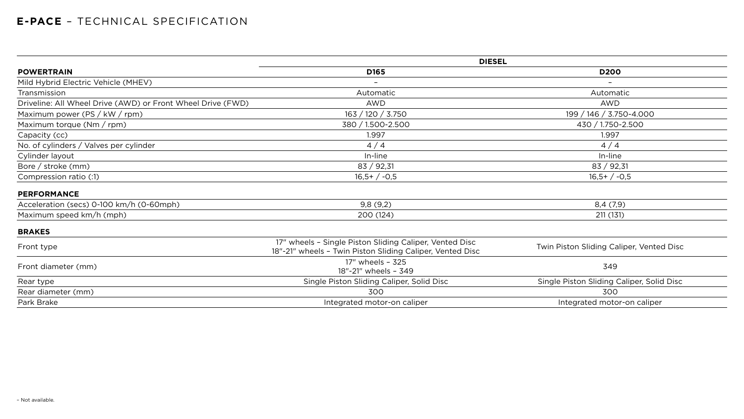|                                                             | <b>DIESEL</b>                                                                                                        |                                           |  |  |
|-------------------------------------------------------------|----------------------------------------------------------------------------------------------------------------------|-------------------------------------------|--|--|
| <b>POWERTRAIN</b>                                           | D <sub>165</sub>                                                                                                     | <b>D200</b>                               |  |  |
| Mild Hybrid Electric Vehicle (MHEV)                         |                                                                                                                      | $\overline{\phantom{0}}$                  |  |  |
| Transmission                                                | Automatic                                                                                                            | Automatic                                 |  |  |
| Driveline: All Wheel Drive (AWD) or Front Wheel Drive (FWD) | <b>AWD</b>                                                                                                           | <b>AWD</b>                                |  |  |
| Maximum power (PS / kW / rpm)                               | 163 / 120 / 3.750                                                                                                    | 199 / 146 / 3.750-4.000                   |  |  |
| Maximum torque (Nm / rpm)                                   | 380 / 1.500-2.500                                                                                                    | 430 / 1.750-2.500                         |  |  |
| Capacity (cc)                                               | 1.997                                                                                                                | 1.997                                     |  |  |
| No. of cylinders / Valves per cylinder                      | 4/4                                                                                                                  | 4/4                                       |  |  |
| Cylinder layout                                             | In-line                                                                                                              | In-line                                   |  |  |
| Bore / stroke (mm)                                          | 83 / 92,31                                                                                                           | 83 / 92,31                                |  |  |
| Compression ratio (:1)                                      | $16,5+/-0,5$                                                                                                         | $16,5+/-0,5$                              |  |  |
| <b>PERFORMANCE</b>                                          |                                                                                                                      |                                           |  |  |
| Acceleration (secs) 0-100 km/h (0-60mph)                    | 9,8(9,2)                                                                                                             | 8,4(7,9)                                  |  |  |
| Maximum speed km/h (mph)                                    | 200 (124)                                                                                                            | 211(131)                                  |  |  |
| <b>BRAKES</b>                                               |                                                                                                                      |                                           |  |  |
| Front type                                                  | 17" wheels - Single Piston Sliding Caliper, Vented Disc<br>18"-21" wheels - Twin Piston Sliding Caliper, Vented Disc | Twin Piston Sliding Caliper, Vented Disc  |  |  |
| Front diameter (mm)                                         | 17" wheels - 325<br>18"-21" wheels - 349                                                                             | 349                                       |  |  |
| Rear type                                                   | Single Piston Sliding Caliper, Solid Disc                                                                            | Single Piston Sliding Caliper, Solid Disc |  |  |
| Rear diameter (mm)                                          | 300                                                                                                                  | 300                                       |  |  |
| Park Brake                                                  | Integrated motor-on caliper                                                                                          | Integrated motor-on caliper               |  |  |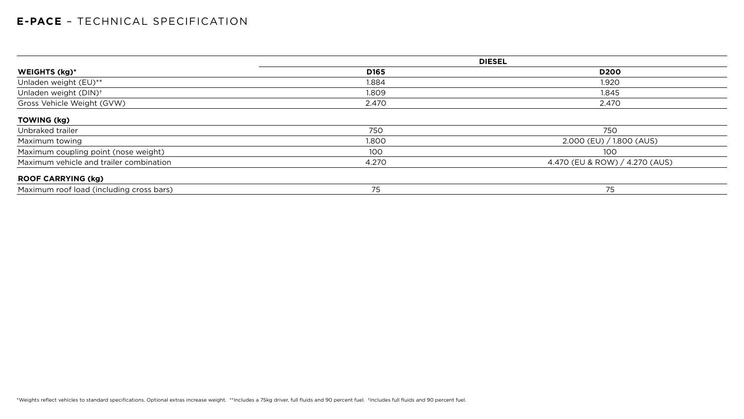|                                          | <b>DIESEL</b>    |                                |  |
|------------------------------------------|------------------|--------------------------------|--|
| <b>WEIGHTS (kg)*</b>                     | D <sub>165</sub> | <b>D200</b>                    |  |
| Unladen weight (EU)**                    | 1.884            | 1.920                          |  |
| Unladen weight (DIN) <sup>+</sup>        | 1.809            | 1.845                          |  |
| Gross Vehicle Weight (GVW)               | 2.470            | 2.470                          |  |
| <b>TOWING (kg)</b>                       |                  |                                |  |
| Unbraked trailer                         | 750              | 750                            |  |
| Maximum towing                           | 1.800            | 2.000 (EU) / 1.800 (AUS)       |  |
| Maximum coupling point (nose weight)     | 100              | 100                            |  |
| Maximum vehicle and trailer combination  | 4.270            | 4.470 (EU & ROW) / 4.270 (AUS) |  |
| <b>ROOF CARRYING (kg)</b>                |                  |                                |  |
| Maximum roof load (including cross bars) | 75               | 75                             |  |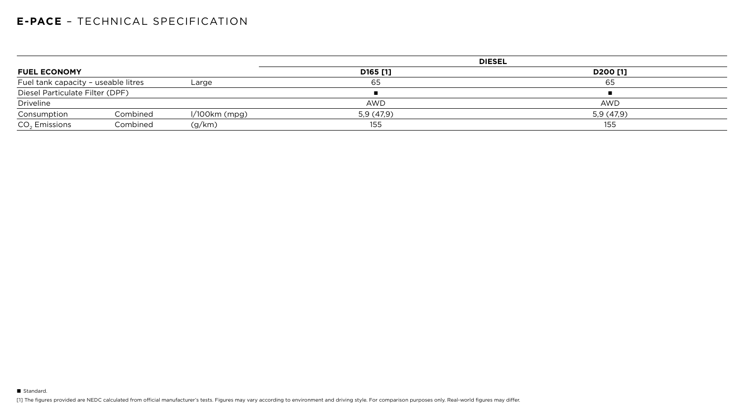|                                     |          |                 |            | <b>DIESEL</b>        |
|-------------------------------------|----------|-----------------|------------|----------------------|
| <b>FUEL ECONOMY</b>                 |          |                 | D165 [1]   | D <sub>200</sub> [1] |
| Fuel tank capacity - useable litres |          | Large           | 65         | 65                   |
| Diesel Particulate Filter (DPF)     |          |                 |            |                      |
| Driveline                           |          |                 | <b>AWD</b> | <b>AWD</b>           |
| Consumption                         | Combined | $1/100km$ (mpg) | 5,9(47,9)  | 5,9(47,9)            |
| CO <sub>2</sub> Emissions           | Combined | (g/km)          | 155        | 155                  |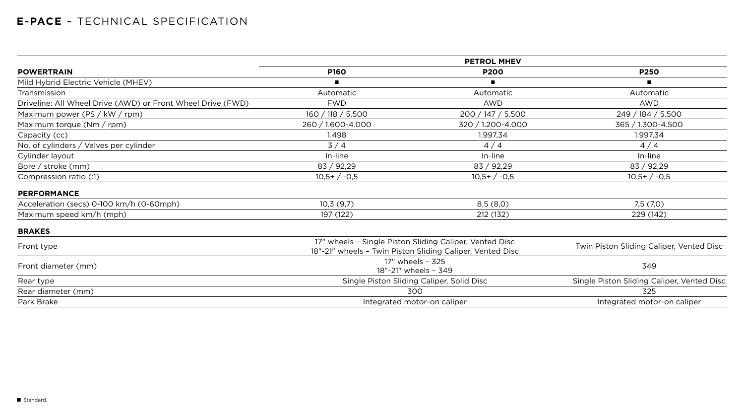|                                                             |                                          | <b>PETROL MHEV</b>                                                                                                   |                                            |
|-------------------------------------------------------------|------------------------------------------|----------------------------------------------------------------------------------------------------------------------|--------------------------------------------|
| <b>POWERTRAIN</b>                                           | <b>P160</b>                              | <b>P200</b>                                                                                                          | <b>P250</b>                                |
| Mild Hybrid Electric Vehicle (MHEV)                         |                                          | $\blacksquare$                                                                                                       | $\blacksquare$                             |
| Transmission                                                | Automatic                                | Automatic                                                                                                            | Automatic                                  |
| Driveline: All Wheel Drive (AWD) or Front Wheel Drive (FWD) | <b>FWD</b>                               | <b>AWD</b>                                                                                                           | <b>AWD</b>                                 |
| Maximum power (PS / kW / rpm)                               | 160 / 118 / 5.500                        | 200 / 147 / 5.500                                                                                                    | 249 / 184 / 5.500                          |
| Maximum torque $(Nm / rpm)$                                 | 260 / 1.600-4.000                        | 320 / 1.200-4.000                                                                                                    | 365 / 1.300-4.500                          |
| Capacity (cc)                                               | 1.498                                    | 1.997,34                                                                                                             | 1.997,34                                   |
| No. of cylinders / Valves per cylinder                      | 3/4                                      | 4/4                                                                                                                  | 4/4                                        |
| Cylinder layout                                             | In-line                                  | In-line                                                                                                              | In-line                                    |
| Bore / stroke $(mm)$                                        | 83 / 92,29                               | 83 / 92,29                                                                                                           | 83 / 92,29                                 |
| Compression ratio (:1)                                      | $10,5+/-0,5$                             | $10,5+/-0,5$                                                                                                         | $10,5+/-0,5$                               |
| <b>PERFORMANCE</b>                                          |                                          |                                                                                                                      |                                            |
| Acceleration (secs) 0-100 km/h (0-60mph)                    | 10,3(9,7)                                | 8,5(8,0)                                                                                                             | 7,5(7,0)                                   |
| Maximum speed km/h (mph)                                    | 197 (122)                                | 212 (132)                                                                                                            | 229 (142)                                  |
| <b>BRAKES</b>                                               |                                          |                                                                                                                      |                                            |
| Front type                                                  |                                          | 17" wheels - Single Piston Sliding Caliper, Vented Disc<br>18"-21" wheels - Twin Piston Sliding Caliper, Vented Disc | Twin Piston Sliding Caliper, Vented Disc   |
| Front diameter (mm)                                         | 17" wheels - 325<br>18"-21" wheels - 349 |                                                                                                                      | 349                                        |
| Rear type                                                   |                                          | Single Piston Sliding Caliper, Solid Disc                                                                            | Single Piston Sliding Caliper, Vented Disc |
| Rear diameter (mm)                                          |                                          | 300                                                                                                                  | 325                                        |
| Park Brake                                                  |                                          | Integrated motor-on caliper                                                                                          | Integrated motor-on caliper                |
|                                                             |                                          |                                                                                                                      |                                            |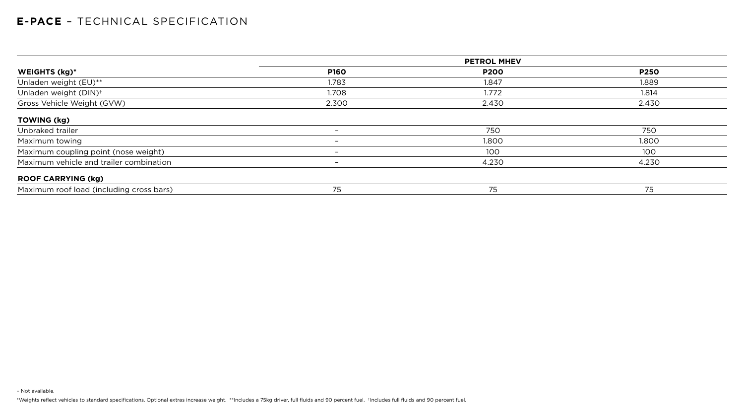– Not available.

\*Weights reflect vehicles to standard specifications. Optional extras increase weight. \*\*Includes a 75kg driver, full fluids and 90 percent fuel. +Includes full fluids and 90 percent fuel.

| WEIGHTS (kg)*                            | <b>P160</b>              | <b>P200</b> | <b>P250</b> |
|------------------------------------------|--------------------------|-------------|-------------|
| Unladen weight (EU)**                    | 1.783                    | 1.847       | 1.889       |
| Unladen weight (DIN) <sup>+</sup>        | 1.708                    | 1.772       | 1.814       |
| Gross Vehicle Weight (GVW)               | 2.300                    | 2.430       | 2.430       |
| <b>TOWING (kg)</b>                       |                          |             |             |
| Unbraked trailer                         | $\overline{\phantom{0}}$ | 750         | 750         |
| Maximum towing                           | $\overline{\phantom{0}}$ | 1.800       | 1.800       |
| Maximum coupling point (nose weight)     | $\overline{\phantom{0}}$ | 100         | 100         |
| Maximum vehicle and trailer combination  | $\overline{\phantom{0}}$ | 4.230       | 4.230       |
| <b>ROOF CARRYING (kg)</b>                |                          |             |             |
| Maximum roof load (including cross bars) | 75                       | 75          | 75          |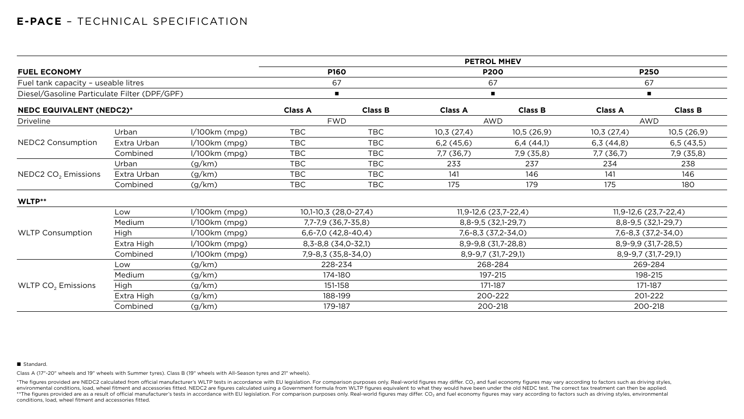|                                              |             |                 |                |                         |                     | <b>PETROL MHEV</b>      |                     |                         |
|----------------------------------------------|-------------|-----------------|----------------|-------------------------|---------------------|-------------------------|---------------------|-------------------------|
| <b>FUEL ECONOMY</b>                          |             |                 |                | <b>P160</b>             |                     | <b>P200</b>             |                     | <b>P250</b>             |
| Fuel tank capacity - useable litres          |             |                 |                | 67                      | 67                  |                         | 67                  |                         |
| Diesel/Gasoline Particulate Filter (DPF/GPF) |             |                 |                | $\blacksquare$          |                     | $\blacksquare$          | $\blacksquare$      |                         |
| <b>NEDC EQUIVALENT (NEDC2)*</b>              |             |                 | <b>Class A</b> | <b>Class B</b>          | <b>Class A</b>      | <b>Class B</b>          | <b>Class A</b>      | <b>Class B</b>          |
| <b>Driveline</b>                             |             |                 |                | <b>FWD</b>              |                     | <b>AWD</b>              |                     | <b>AWD</b>              |
|                                              | Urban       | $1/100km$ (mpg) | <b>TBC</b>     | <b>TBC</b>              | 10,3(27,4)          | 10,5(26,9)              | 10,3(27,4)          | 10,5(26,9)              |
| NEDC2 Consumption                            | Extra Urban | $1/100km$ (mpg) | <b>TBC</b>     | <b>TBC</b>              | 6,2(45,6)           | 6,4(44,1)               | 6,3(44,8)           | 6,5(43,5)               |
|                                              | Combined    | $1/100km$ (mpg) | <b>TBC</b>     | <b>TBC</b>              | 7,7 (36,7)          | 7,9(35,8)               | 7,7 (36,7)          | 7,9 (35,8)              |
|                                              | Urban       | (g/km)          | <b>TBC</b>     | <b>TBC</b>              | 233                 | 237                     | 234                 | 238                     |
| NEDC2 CO <sub>2</sub> Emissions              | Extra Urban | (g/km)          | <b>TBC</b>     | <b>TBC</b>              | 141                 | 146                     | 141                 | 146                     |
|                                              | Combined    | (g/km)          | <b>TBC</b>     | <b>TBC</b>              | 175                 | 179                     | 175                 | 180                     |
| WLTP**                                       |             |                 |                |                         |                     |                         |                     |                         |
|                                              | Low         | $1/100km$ (mpg) |                | 10,1-10,3 (28,0-27,4)   |                     | $11,9-12,6(23,7-22,4)$  |                     | $11,9-12,6(23,7-22,4)$  |
|                                              | Medium      | $1/100km$ (mpg) |                | 7,7-7,9 (36,7-35,8)     |                     | $8,8-9,5(32,1-29,7)$    |                     | $8,8-9,5(32,1-29,7)$    |
| <b>WLTP Consumption</b>                      | High        | $1/100km$ (mpg) |                | $6,6-7,0$ $(42,8-40,4)$ |                     | $7,6 - 8,3$ (37,2-34,0) |                     | $7,6 - 8,3$ (37,2-34,0) |
|                                              | Extra High  | $1/100km$ (mpg) |                | $8,3-8,8$ (34,0-32,1)   | 8,9-9,8 (31,7-28,8) |                         | 8,9-9,9 (31,7-28,5) |                         |
|                                              | Combined    | $1/100km$ (mpg) |                | 7,9-8,3 (35,8-34,0)     | 8,9-9,7 (31,7-29,1) |                         | 8,9-9,7 (31,7-29,1) |                         |
|                                              | Low         | (g/km)          |                | 228-234                 |                     | 268-284                 |                     | 269-284                 |
|                                              | Medium      | (g/km)          |                | 174-180                 |                     | 197-215                 |                     | 198-215                 |
| WLTP CO <sub>2</sub> Emissions               | High        | (g/km)          |                | 151-158                 |                     | 171-187                 |                     | 171-187                 |
|                                              | Extra High  | (g/km)          |                | 188-199                 |                     | 200-222                 |                     | 201-222                 |
|                                              | Combined    | (g/km)          |                | 179-187                 |                     | 200-218                 |                     | 200-218                 |

#### ■ Standard.

\*The figures provided are NEDC2 calculated from official manufacturer's WLTP tests in accordance with EU legislation. For comparison purposes only. Real-world figures may differ. CO<sub>2</sub> and fuel economy figures may vary acc environmental conditions, load, wheel fitment and accessories fitted. NEDC2 are figures calculated using a Government formula from WLTP figures equivalent to what they would have been under the old NEDC test. The correct t \*\*The figures provided are as a result of official manufacturer's tests in accordance with EU legislation. For comparison purposes only. Real-world figures may differ. CO<sub>2</sub> and fuel economy figures may vary according to f conditions, load, wheel fitment and accessories fitted.

Class A (17"-20" wheels and 19" wheels with Summer tyres). Class B (19" wheels with All-Season tyres and 21" wheels).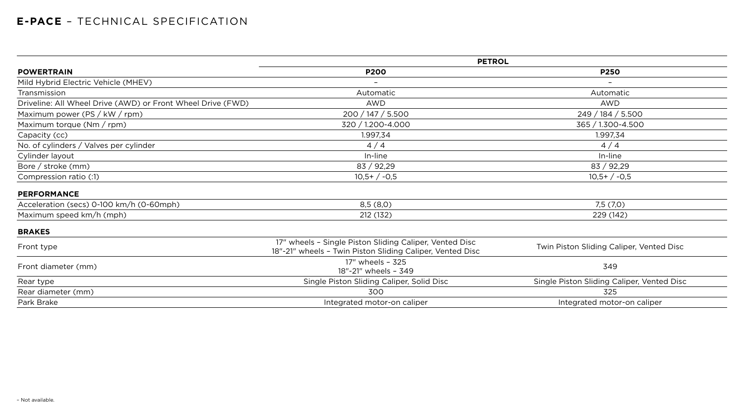|                                                             | <b>PETROL</b>                                                                                                        |                                            |  |  |
|-------------------------------------------------------------|----------------------------------------------------------------------------------------------------------------------|--------------------------------------------|--|--|
| <b>POWERTRAIN</b>                                           | <b>P200</b>                                                                                                          | <b>P250</b>                                |  |  |
| Mild Hybrid Electric Vehicle (MHEV)                         | $\overline{\phantom{0}}$                                                                                             | $\overline{\phantom{0}}$                   |  |  |
| Transmission                                                | Automatic                                                                                                            | Automatic                                  |  |  |
| Driveline: All Wheel Drive (AWD) or Front Wheel Drive (FWD) | <b>AWD</b>                                                                                                           | <b>AWD</b>                                 |  |  |
| Maximum power (PS / kW / rpm)                               | 200 / 147 / 5.500                                                                                                    | 249 / 184 / 5.500                          |  |  |
| Maximum torque (Nm / rpm)                                   | 320 / 1.200-4.000                                                                                                    | 365 / 1.300-4.500                          |  |  |
| Capacity (cc)                                               | 1.997,34                                                                                                             | 1.997,34                                   |  |  |
| No. of cylinders / Valves per cylinder                      | 4/4                                                                                                                  | 4/4                                        |  |  |
| Cylinder layout                                             | In-line                                                                                                              | In-line                                    |  |  |
| Bore / stroke $(mm)$                                        | 83 / 92,29                                                                                                           | 83 / 92,29                                 |  |  |
| Compression ratio (:1)                                      | $10,5+/-0,5$                                                                                                         | $10,5+/-0,5$                               |  |  |
| <b>PERFORMANCE</b>                                          |                                                                                                                      |                                            |  |  |
| Acceleration (secs) 0-100 km/h (0-60mph)                    | 8,5(8,0)                                                                                                             | 7,5(7,0)                                   |  |  |
| Maximum speed km/h (mph)                                    | 212 (132)                                                                                                            | 229 (142)                                  |  |  |
| <b>BRAKES</b>                                               |                                                                                                                      |                                            |  |  |
| Front type                                                  | 17" wheels - Single Piston Sliding Caliper, Vented Disc<br>18"-21" wheels - Twin Piston Sliding Caliper, Vented Disc | Twin Piston Sliding Caliper, Vented Disc   |  |  |
| Front diameter (mm)                                         | 17" wheels - 325<br>18"-21" wheels - 349                                                                             | 349                                        |  |  |
| Rear type                                                   | Single Piston Sliding Caliper, Solid Disc                                                                            | Single Piston Sliding Caliper, Vented Disc |  |  |
| Rear diameter (mm)                                          | 300                                                                                                                  | 325                                        |  |  |
| Park Brake                                                  | Integrated motor-on caliper                                                                                          | Integrated motor-on caliper                |  |  |
|                                                             |                                                                                                                      |                                            |  |  |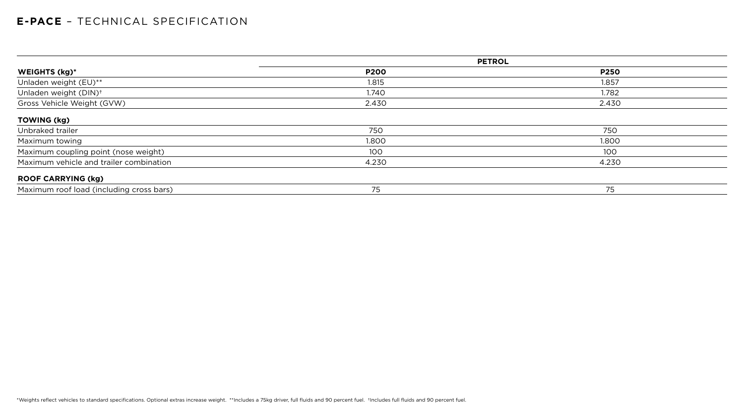|                                          |             | <b>PETROL</b> |
|------------------------------------------|-------------|---------------|
| WEIGHTS (kg)*                            | <b>P200</b> | <b>P250</b>   |
| Unladen weight (EU)**                    | 1.815       | 1.857         |
| Unladen weight (DIN) <sup>+</sup>        | 1.740       | 1.782         |
| Gross Vehicle Weight (GVW)               | 2.430       | 2.430         |
| <b>TOWING (kg)</b>                       |             |               |
| Unbraked trailer                         | 750         | 750           |
| Maximum towing                           | 1.800       | 1.800         |
| Maximum coupling point (nose weight)     | 100         | 100           |
| Maximum vehicle and trailer combination  | 4.230       | 4.230         |
| <b>ROOF CARRYING (kg)</b>                |             |               |
| Maximum roof load (including cross bars) | 75          | 75            |

| I<br>٦<br>I<br>٧ |  |
|------------------|--|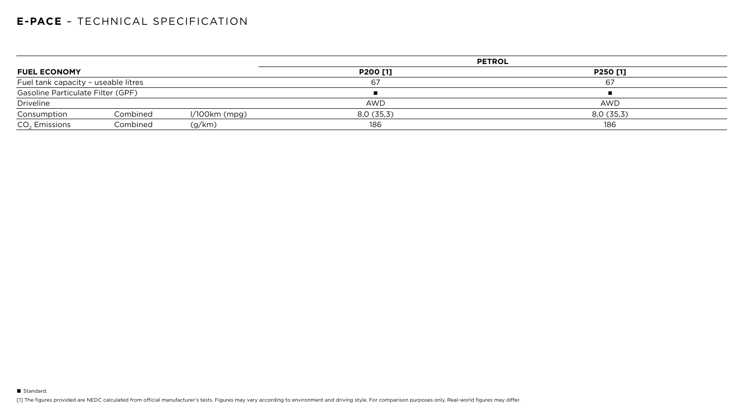|                                     |          |                 | <b>PETROL</b>   |            |  |  |
|-------------------------------------|----------|-----------------|-----------------|------------|--|--|
| <b>FUEL ECONOMY</b>                 |          |                 | <b>P200 [1]</b> | P250 [1]   |  |  |
| Fuel tank capacity - useable litres |          |                 | 67              | 67         |  |  |
| Gasoline Particulate Filter (GPF)   |          |                 |                 |            |  |  |
| Driveline                           |          |                 | <b>AWD</b>      | <b>AWD</b> |  |  |
| Consumption                         | Combined | $1/100km$ (mpg) | 8,0(35,3)       | 8,0(35,3)  |  |  |
| $CO2$ Emissions                     | Combined | (g/km)          | 186             | 186        |  |  |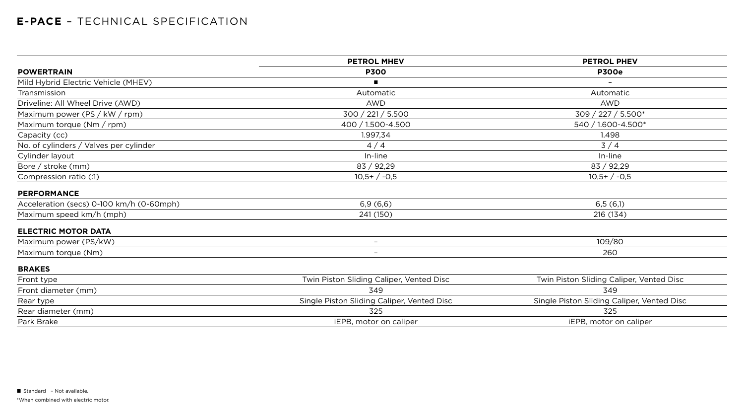|                                          | <b>PETROL MHEV</b>                         | <b>PETROL PHEV</b><br><b>P300e</b>         |  |
|------------------------------------------|--------------------------------------------|--------------------------------------------|--|
| <b>POWERTRAIN</b>                        | <b>P300</b>                                |                                            |  |
| Mild Hybrid Electric Vehicle (MHEV)      |                                            |                                            |  |
| Transmission                             | Automatic                                  | Automatic                                  |  |
| Driveline: All Wheel Drive (AWD)         | <b>AWD</b>                                 | <b>AWD</b>                                 |  |
| Maximum power (PS / kW / rpm)            | 300 / 221 / 5.500                          | 309 / 227 / 5.500*                         |  |
| Maximum torque (Nm / rpm)                | 400 / 1.500-4.500                          | 540 / 1.600-4.500*                         |  |
| Capacity (cc)                            | 1.997,34                                   | 1.498                                      |  |
| No. of cylinders / Valves per cylinder   | 4/4                                        | 3/4                                        |  |
| Cylinder layout                          | In-line                                    | In-line                                    |  |
| Bore / stroke (mm)                       | 83 / 92,29                                 | 83 / 92,29                                 |  |
| Compression ratio (:1)                   | $10,5+/-0,5$                               | $10,5+/-0,5$                               |  |
| <b>PERFORMANCE</b>                       |                                            |                                            |  |
| Acceleration (secs) 0-100 km/h (0-60mph) | 6,9(6,6)                                   | 6,5(6,1)                                   |  |
| Maximum speed km/h (mph)                 | 241 (150)                                  | 216 (134)                                  |  |
| <b>ELECTRIC MOTOR DATA</b>               |                                            |                                            |  |
| Maximum power (PS/kW)                    | $\qquad \qquad -$                          | 109/80                                     |  |
| Maximum torque (Nm)                      |                                            | 260                                        |  |
| <b>BRAKES</b>                            |                                            |                                            |  |
| Front type                               | Twin Piston Sliding Caliper, Vented Disc   | Twin Piston Sliding Caliper, Vented Disc   |  |
| Front diameter (mm)                      | 349                                        | 349                                        |  |
| Rear type                                | Single Piston Sliding Caliper, Vented Disc | Single Piston Sliding Caliper, Vented Disc |  |
| Rear diameter (mm)                       | 325                                        | 325                                        |  |
| Park Brake                               | iEPB, motor on caliper                     | iEPB, motor on caliper                     |  |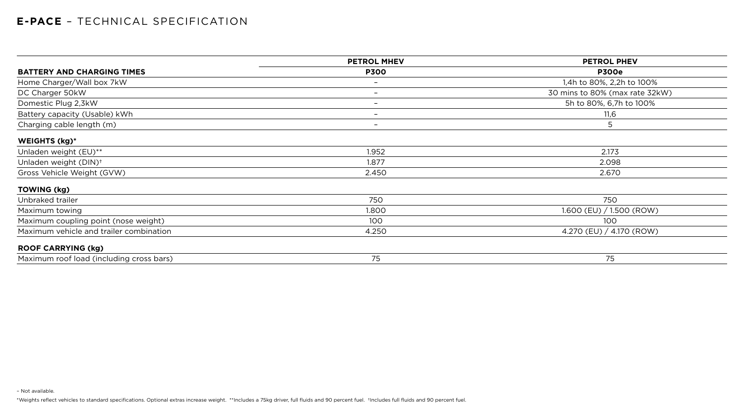– Not available.

\*Weights reflect vehicles to standard specifications. Optional extras increase weight. \*\*Includes a 75kg driver, full fluids and 90 percent fuel. +Includes full fluids and 90 percent fuel.

|                                          | <b>PETROL MHEV</b>       | <b>PETROL PHEV</b><br><b>P300e</b> |  |
|------------------------------------------|--------------------------|------------------------------------|--|
| <b>BATTERY AND CHARGING TIMES</b>        | <b>P300</b>              |                                    |  |
| Home Charger/Wall box 7kW                |                          | 1,4h to 80%, 2,2h to 100%          |  |
| DC Charger 50kW                          | $\qquad \qquad$          | 30 mins to 80% (max rate 32kW)     |  |
| Domestic Plug 2,3kW                      |                          | 5h to 80%, 6,7h to 100%            |  |
| Battery capacity (Usable) kWh            |                          | 11,6                               |  |
| Charging cable length (m)                | $\overline{\phantom{0}}$ | $5\overline{)}$                    |  |
| <b>WEIGHTS (kg)*</b>                     |                          |                                    |  |
| Unladen weight (EU)**                    | 1.952                    | 2.173                              |  |
| Unladen weight (DIN) <sup>+</sup>        | 1.877                    | 2.098                              |  |
| Gross Vehicle Weight (GVW)               | 2.450                    | 2.670                              |  |
| <b>TOWING (kg)</b>                       |                          |                                    |  |
| Unbraked trailer                         | 750                      | 750                                |  |
| Maximum towing                           | 1.800                    | $1.600$ (EU) $/ 1.500$ (ROW)       |  |
| Maximum coupling point (nose weight)     | 100                      | 100                                |  |
| Maximum vehicle and trailer combination  | 4.250                    | 4.270 (EU) / 4.170 (ROW)           |  |
| <b>ROOF CARRYING (kg)</b>                |                          |                                    |  |
| Maximum roof load (including cross bars) | 75                       | 75                                 |  |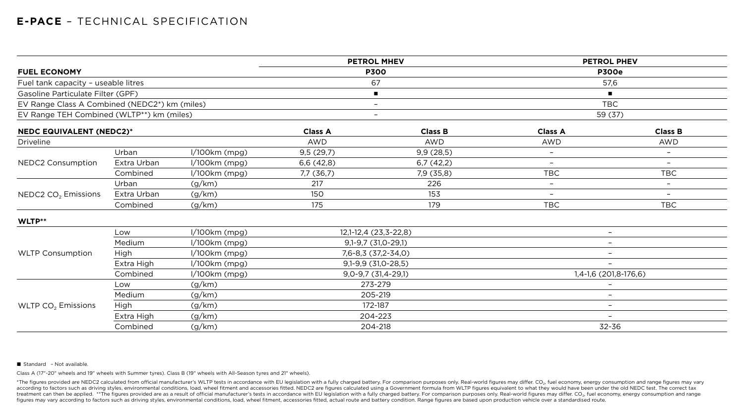| <b>FUEL ECONOMY</b>                           |                 |                                |                             | <b>PETROL PHEV</b>                                                                      |                          |  |
|-----------------------------------------------|-----------------|--------------------------------|-----------------------------|-----------------------------------------------------------------------------------------|--------------------------|--|
|                                               |                 |                                | <b>P300</b>                 |                                                                                         | <b>P300e</b>             |  |
| Fuel tank capacity - useable litres           |                 |                                |                             |                                                                                         | 57,6                     |  |
| Gasoline Particulate Filter (GPF)             |                 |                                | $\blacksquare$              |                                                                                         | п.                       |  |
| EV Range Class A Combined (NEDC2*) km (miles) |                 |                                | $\qquad \qquad -$           |                                                                                         | <b>TBC</b>               |  |
| EV Range TEH Combined (WLTP**) km (miles)     |                 |                                | $\qquad \qquad -$           |                                                                                         | 59 (37)                  |  |
| <b>NEDC EQUIVALENT (NEDC2)*</b>               |                 |                                | <b>Class B</b>              | <b>Class A</b>                                                                          | <b>Class B</b>           |  |
|                                               |                 | <b>AWD</b>                     | <b>AWD</b>                  | <b>AWD</b>                                                                              | <b>AWD</b>               |  |
| Urban                                         |                 |                                |                             | $\overline{\phantom{a}}$                                                                | $\overline{\phantom{m}}$ |  |
| Extra Urban                                   | $1/100km$ (mpg) | 6,6(42,8)                      | 6,7(42,2)                   | $\overline{\phantom{m}}$                                                                | $\overline{\phantom{m}}$ |  |
| Combined                                      | $1/100km$ (mpg) | $7,7$ (36,7)                   | 7,9(35,8)                   | <b>TBC</b>                                                                              | <b>TBC</b>               |  |
| Urban                                         | (g/km)          | 217                            | 226                         | $ \,$                                                                                   | $\overline{\phantom{m}}$ |  |
| Extra Urban                                   | (g/km)          | <b>150</b>                     | 153                         | $\overline{\phantom{m}}$                                                                |                          |  |
| Combined                                      | (g/km)          | 175                            | 179                         | <b>TBC</b>                                                                              | <b>TBC</b>               |  |
|                                               |                 |                                |                             |                                                                                         |                          |  |
| Low                                           |                 |                                |                             | $\overline{\phantom{a}}$                                                                |                          |  |
| Medium                                        | $1/100km$ (mpg) |                                |                             | $\overline{\phantom{a}}$                                                                |                          |  |
| <b>High</b>                                   | $1/100km$ (mpg) | 7,6-8,3 (37,2-34,0)            |                             | $-$                                                                                     |                          |  |
| Extra High                                    | $1/100km$ (mpg) | $9,1-9,9$ (31,0-28,5)          |                             | $\overline{\phantom{m}}$                                                                |                          |  |
| Combined                                      | $1/100km$ (mpg) | $9,0-9,7$ (31,4-29,1)          |                             | 1,4-1,6 (201,8-176,6)                                                                   |                          |  |
| Low                                           | (g/km)          | 273-279                        |                             | $\overline{\phantom{m}}$                                                                |                          |  |
| Medium                                        | (g/km)          | 205-219                        |                             | $\overline{\phantom{a}}$                                                                |                          |  |
| <b>High</b>                                   | (g/km)          | 172-187                        |                             | $ \,$                                                                                   |                          |  |
| Extra High                                    | (g/km)          | 204-223                        |                             |                                                                                         |                          |  |
| Combined                                      | (g/km)          | 204-218                        |                             | 32-36                                                                                   |                          |  |
|                                               |                 | l/100km (mpg)<br>l/100km (mpg) | <b>Class A</b><br>9,5(29,7) | <b>PETROL MHEV</b><br>67<br>9,9(28,5)<br>12,1-12,4 (23,3-22,8)<br>$9,1-9,7$ (31,0-29,1) |                          |  |

#### ■ Standard - Not available.

Class A (17"-20" wheels and 19" wheels with Summer tyres). Class B (19" wheels with All-Season tyres and 21" wheels).

\*The figures provided are NEDC2 calculated from official manufacturer's WLTP tests in accordance with EU legislation with a fully charged battery. For comparison purposes only. Real-world figures may differ. CO<sub>2</sub>, fuel ec according to factors such as driving styles, environmental conditions, load, wheel fitment and accessories fitted. NEDC2 are figures calculated using a Government formula from WLTP figures equivalent to what they would hav treatment can then be applied. \*\*The figures provided are as a result of official manufacturer's tests in accordance with EU legislation with a fully charged battery. For comparison purposes only. Real-world figures may di figures may vary according to factors such as driving styles, environmental conditions, load, wheel fitment, accessories fitted, actual route and battery condition. Range figures are based upon production vehicle over a st